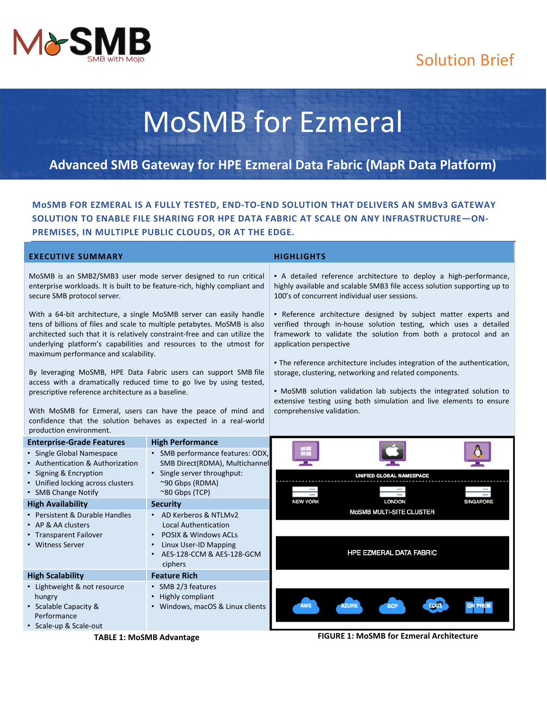

# Solution Brief

# MoSMB for Ezmeral

## **Advanced SMB Gateway for HPE Ezmeral Data Fabric (MapR Data Platform)**

**MoSMB FOR EZMERAL IS A FULLY TESTED, END-TO-END SOLUTION THAT DELIVERS AN SMBv3 GATEWAY SOLUTION TO ENABLE FILE SHARING FOR HPE DATA FABRIC AT SCALE ON ANY INFRASTRUCTURE—ON-PREMISES, IN MULTIPLE PUBLIC CLOUDS, OR AT THE EDGE.**

#### **EXECUTIVE SUMMARY HIGHLIGHTS**

MoSMB is an SMB2/SMB3 user mode server designed to run critical enterprise workloads. It is built to be feature-rich, highly compliant and secure SMB protocol server.

With a 64-bit architecture, a single MoSMB server can easily handle tens of billions of files and scale to multiple petabytes. MoSMB is also architected such that it is relatively constraint-free and can utilize the underlying platform's capabilities and resources to the utmost for maximum performance and scalability.

By leveraging MoSMB, HPE Data Fabric users can support SMB file access with a dramatically reduced time to go live by using tested, prescriptive reference architecture as a baseline.

With MoSMB for Ezmeral, users can have the peace of mind and confidence that the solution behaves as expected in a real-world production environment.

▪ A detailed reference architecture to deploy a high-performance, highly available and scalable SMB3 file access solution supporting up to 100's of concurrent individual user sessions.

▪ Reference architecture designed by subject matter experts and verified through in-house solution testing, which uses a detailed framework to validate the solution from both a protocol and an application perspective

**• The reference architecture includes integration of the authentication,** storage, clustering, networking and related components.

▪ MoSMB solution validation lab subjects the integrated solution to extensive testing using both simulation and live elements to ensure comprehensive validation.

| <b>Enterprise-Grade Features</b>  | <b>High Performance</b>          |                                                         |
|-----------------------------------|----------------------------------|---------------------------------------------------------|
| • Single Global Namespace         | SMB performance features: ODX,   |                                                         |
| • Authentication & Authorization  | SMB Direct(RDMA), Multichannel   |                                                         |
| • Signing & Encryption            | Single server throughput:        | <b>UNIFIED GLOBAL NAMESPACE</b>                         |
| • Unified locking across clusters | $\sim$ 90 Gbps (RDMA)            |                                                         |
| • SMB Change Notify               | $^{\sim}80$ Gbps (TCP)           |                                                         |
| <b>High Availability</b>          | <b>Security</b>                  | <b>LONDON</b><br><b>NEW YORK</b><br><b>SINGAPORE</b>    |
| • Persistent & Durable Handles    | • AD Kerberos & NTLMv2           | <b>MOSMB MULTI-SITE CLUSTER</b>                         |
| • AP & AA clusters                | <b>Local Authentication</b>      |                                                         |
| • Transparent Failover            | POSIX & Windows ACLs             |                                                         |
| • Witness Server                  | Linux User-ID Mapping            |                                                         |
|                                   | AES-128-CCM & AES-128-GCM        | <b>HPE EZMERAL DATA FABRIC</b>                          |
|                                   | ciphers                          |                                                         |
| <b>High Scalability</b>           | <b>Feature Rich</b>              |                                                         |
| • Lightweight & not resource      | • SMB 2/3 features               |                                                         |
| hungry                            | • Highly compliant               |                                                         |
| • Scalable Capacity &             | • Windows, macOS & Linux clients | <b>AZURE</b><br><b>EDGE</b><br><b>AWS</b><br><b>GCP</b> |
| Performance                       |                                  |                                                         |
| • Scale-up & Scale-out            |                                  |                                                         |

**TABLE 1: MoSMB Advantage FIGURE 1: MoSMB for Ezmeral Architecture**